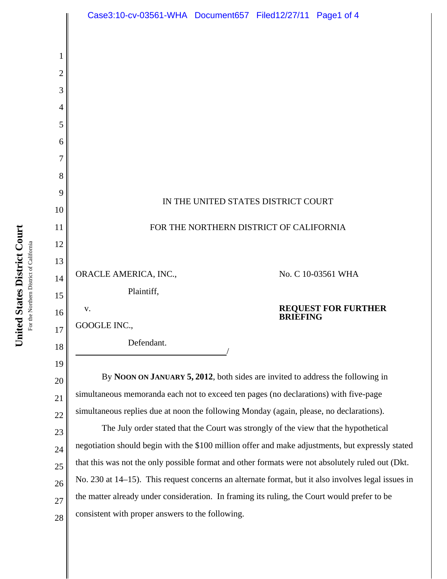

23 24 25 26 27 28 negotiation should begin with the \$100 million offer and make adjustments, but expressly stated that this was not the only possible format and other formats were not absolutely ruled out (Dkt. No. 230 at 14–15). This request concerns an alternate format, but it also involves legal issues in the matter already under consideration. In framing its ruling, the Court would prefer to be consistent with proper answers to the following.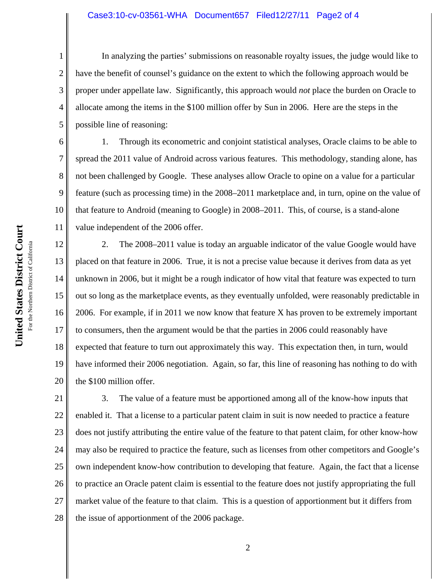## Case3:10-cv-03561-WHA Document657 Filed12/27/11 Page2 of 4

In analyzing the parties' submissions on reasonable royalty issues, the judge would like to have the benefit of counsel's guidance on the extent to which the following approach would be proper under appellate law. Significantly, this approach would *not* place the burden on Oracle to allocate among the items in the \$100 million offer by Sun in 2006. Here are the steps in the possible line of reasoning:

1. Through its econometric and conjoint statistical analyses, Oracle claims to be able to spread the 2011 value of Android across various features. This methodology, standing alone, has not been challenged by Google. These analyses allow Oracle to opine on a value for a particular feature (such as processing time) in the 2008–2011 marketplace and, in turn, opine on the value of that feature to Android (meaning to Google) in 2008–2011. This, of course, is a stand-alone value independent of the 2006 offer.

12 13 14 15 16 17 18 19 20 2. The 2008–2011 value is today an arguable indicator of the value Google would have placed on that feature in 2006. True, it is not a precise value because it derives from data as yet unknown in 2006, but it might be a rough indicator of how vital that feature was expected to turn out so long as the marketplace events, as they eventually unfolded, were reasonably predictable in 2006. For example, if in 2011 we now know that feature X has proven to be extremely important to consumers, then the argument would be that the parties in 2006 could reasonably have expected that feature to turn out approximately this way. This expectation then, in turn, would have informed their 2006 negotiation. Again, so far, this line of reasoning has nothing to do with the \$100 million offer.

21 22 23 24 25 26 27 28 3. The value of a feature must be apportioned among all of the know-how inputs that enabled it. That a license to a particular patent claim in suit is now needed to practice a feature does not justify attributing the entire value of the feature to that patent claim, for other know-how may also be required to practice the feature, such as licenses from other competitors and Google's own independent know-how contribution to developing that feature. Again, the fact that a license to practice an Oracle patent claim is essential to the feature does not justify appropriating the full market value of the feature to that claim. This is a question of apportionment but it differs from the issue of apportionment of the 2006 package.

1

2

3

4

5

6

7

8

9

10

11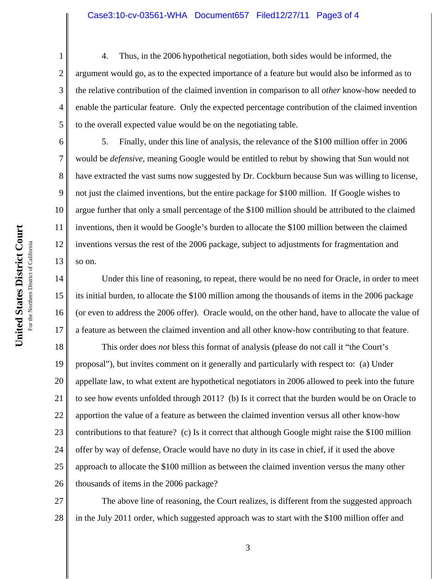## Case3:10-cv-03561-WHA Document657 Filed12/27/11 Page3 of 4

4. Thus, in the 2006 hypothetical negotiation, both sides would be informed, the argument would go, as to the expected importance of a feature but would also be informed as to the relative contribution of the claimed invention in comparison to all *other* know-how needed to enable the particular feature. Only the expected percentage contribution of the claimed invention to the overall expected value would be on the negotiating table.

10 11 12 13 5. Finally, under this line of analysis, the relevance of the \$100 million offer in 2006 would be *defensive*, meaning Google would be entitled to rebut by showing that Sun would not have extracted the vast sums now suggested by Dr. Cockburn because Sun was willing to license, not just the claimed inventions, but the entire package for \$100 million. If Google wishes to argue further that only a small percentage of the \$100 million should be attributed to the claimed inventions, then it would be Google's burden to allocate the \$100 million between the claimed inventions versus the rest of the 2006 package, subject to adjustments for fragmentation and so on.

14 15 16 17 Under this line of reasoning, to repeat, there would be no need for Oracle, in order to meet its initial burden, to allocate the \$100 million among the thousands of items in the 2006 package (or even to address the 2006 offer). Oracle would, on the other hand, have to allocate the value of a feature as between the claimed invention and all other know-how contributing to that feature.

18 19 20 21 22 23 24 25 26 This order does *not* bless this format of analysis (please do not call it "the Court's proposal"), but invites comment on it generally and particularly with respect to: (a) Under appellate law, to what extent are hypothetical negotiators in 2006 allowed to peek into the future to see how events unfolded through 2011? (b) Is it correct that the burden would be on Oracle to apportion the value of a feature as between the claimed invention versus all other know-how contributions to that feature? (c) Is it correct that although Google might raise the \$100 million offer by way of defense, Oracle would have no duty in its case in chief, if it used the above approach to allocate the \$100 million as between the claimed invention versus the many other thousands of items in the 2006 package?

27 28 The above line of reasoning, the Court realizes, is different from the suggested approach in the July 2011 order, which suggested approach was to start with the \$100 million offer and

1

2

3

4

5

6

7

8

9